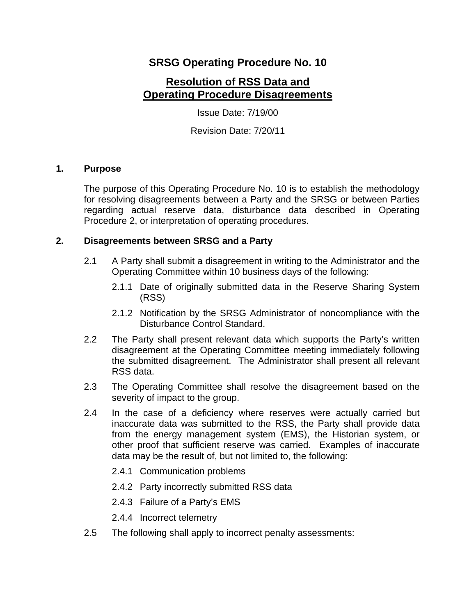## **SRSG Operating Procedure No. 10**

# **Resolution of RSS Data and Operating Procedure Disagreements**

Issue Date: 7/19/00

Revision Date: 7/20/11

### **1. Purpose**

The purpose of this Operating Procedure No. 10 is to establish the methodology for resolving disagreements between a Party and the SRSG or between Parties regarding actual reserve data, disturbance data described in Operating Procedure 2, or interpretation of operating procedures.

### **2. Disagreements between SRSG and a Party**

- 2.1 A Party shall submit a disagreement in writing to the Administrator and the Operating Committee within 10 business days of the following:
	- 2.1.1 Date of originally submitted data in the Reserve Sharing System (RSS)
	- 2.1.2 Notification by the SRSG Administrator of noncompliance with the Disturbance Control Standard.
- 2.2 The Party shall present relevant data which supports the Party's written disagreement at the Operating Committee meeting immediately following the submitted disagreement. The Administrator shall present all relevant RSS data.
- 2.3 The Operating Committee shall resolve the disagreement based on the severity of impact to the group.
- 2.4 In the case of a deficiency where reserves were actually carried but inaccurate data was submitted to the RSS, the Party shall provide data from the energy management system (EMS), the Historian system, or other proof that sufficient reserve was carried. Examples of inaccurate data may be the result of, but not limited to, the following:
	- 2.4.1 Communication problems
	- 2.4.2 Party incorrectly submitted RSS data
	- 2.4.3 Failure of a Party's EMS
	- 2.4.4 Incorrect telemetry
- 2.5 The following shall apply to incorrect penalty assessments: